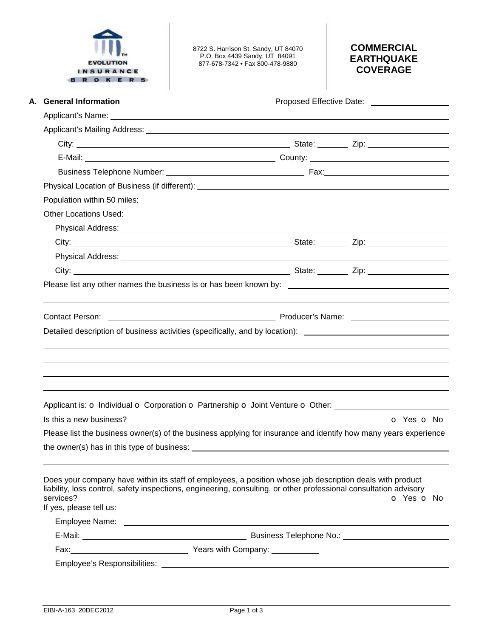|  | <b>EVOLUTION</b> |  |  |
|--|------------------|--|--|
|  | INSURANCE        |  |  |
|  |                  |  |  |

8722 S. Harrison St. Sandy, UT 84070 P.O. Box 4439 Sandy, UT 84091 877-678-7342 • Fax 800-478-9880

# **COMMERCIAL EARTHQUAKE COVERAGE**

| A. General Information                      | Proposed Effective Date: _____________________                                                                                                                                                                                      |            |  |
|---------------------------------------------|-------------------------------------------------------------------------------------------------------------------------------------------------------------------------------------------------------------------------------------|------------|--|
|                                             |                                                                                                                                                                                                                                     |            |  |
|                                             |                                                                                                                                                                                                                                     |            |  |
|                                             |                                                                                                                                                                                                                                     |            |  |
|                                             |                                                                                                                                                                                                                                     |            |  |
|                                             |                                                                                                                                                                                                                                     |            |  |
|                                             |                                                                                                                                                                                                                                     |            |  |
| Population within 50 miles: _______________ |                                                                                                                                                                                                                                     |            |  |
| <b>Other Locations Used:</b>                |                                                                                                                                                                                                                                     |            |  |
|                                             | Physical Address: <u>Communications</u> Control and Control and Control and Control and Control and Control and Control and Control and Control and Control and Control and Control and Control and Control and Control and Control |            |  |
|                                             |                                                                                                                                                                                                                                     |            |  |
|                                             |                                                                                                                                                                                                                                     |            |  |
|                                             |                                                                                                                                                                                                                                     |            |  |
|                                             | Please list any other names the business is or has been known by: Network and the manner of the state of the state of the state of the state of the state of the state of the state of the state of the state of the state of       |            |  |
|                                             |                                                                                                                                                                                                                                     |            |  |
| <b>Contact Person:</b>                      |                                                                                                                                                                                                                                     |            |  |
|                                             | Detailed description of business activities (specifically, and by location): ________________________________                                                                                                                       |            |  |
|                                             |                                                                                                                                                                                                                                     |            |  |
|                                             | Applicant is: o Individual o Corporation o Partnership o Joint Venture o Other:                                                                                                                                                     | O Yes O No |  |
| Is this a new business?                     |                                                                                                                                                                                                                                     |            |  |
|                                             | Please list the business owner(s) of the business applying for insurance and identify how many years experience                                                                                                                     |            |  |
|                                             |                                                                                                                                                                                                                                     |            |  |
| services?<br>If yes, please tell us:        | Does your company have within its staff of employees, a position whose job description deals with product<br>liability, loss control, safety inspections, engineering, consulting, or other professional consultation advisory      | O Yes O No |  |
|                                             |                                                                                                                                                                                                                                     |            |  |
|                                             |                                                                                                                                                                                                                                     |            |  |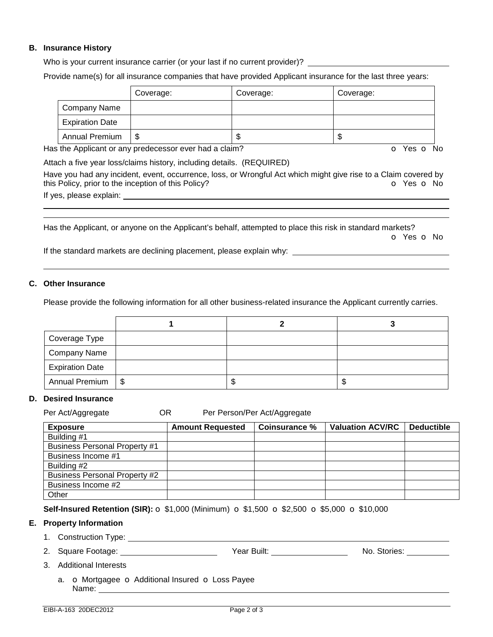## **B. Insurance History**

Who is your current insurance carrier (or your last if no current provider)?

Provide name(s) for all insurance companies that have provided Applicant insurance for the last three years:

|                        | Coverage: | Coverage: | Coverage: |
|------------------------|-----------|-----------|-----------|
| Company Name           |           |           |           |
| <b>Expiration Date</b> |           |           |           |
| <b>Annual Premium</b>  | -S        | ጥ<br>۰D   | ۰D        |

Has the Applicant or any predecessor ever had a claim? **o** Yes **o** No

Attach a five year loss/claims history, including details. (REQUIRED)

Have you had any incident, event, occurrence, loss, or Wrongful Act which might give rise to a Claim covered by this Policy, prior to the inception of this Policy? **o Yes o No** 

If yes, please explain:

Has the Applicant, or anyone on the Applicant's behalf, attempted to place this risk in standard markets? o Yes o No

If the standard markets are declining placement, please explain why:

# **C. Other Insurance**

 

Please provide the following information for all other business-related insurance the Applicant currently carries.

| Coverage Type          |  |    |
|------------------------|--|----|
| <b>Company Name</b>    |  |    |
| <b>Expiration Date</b> |  |    |
| Annual Premium   \$    |  | ъD |

### **D. Desired Insurance**

| <b>Exposure</b>                      | <b>Amount Requested</b> | Coinsurance % | <b>Valuation ACV/RC</b> | <b>Deductible</b> |
|--------------------------------------|-------------------------|---------------|-------------------------|-------------------|
| Building #1                          |                         |               |                         |                   |
| <b>Business Personal Property #1</b> |                         |               |                         |                   |
| Business Income #1                   |                         |               |                         |                   |
| Building #2                          |                         |               |                         |                   |
| <b>Business Personal Property #2</b> |                         |               |                         |                   |
| Business Income #2                   |                         |               |                         |                   |
| Other                                |                         |               |                         |                   |

**Self-Insured Retention (SIR):**  $\circ$  **\$1,000 (Minimum)**  $\circ$  **\$1,500**  $\circ$  **\$2,500**  $\circ$  **\$5,000**  $\circ$  **\$10,000** 

### **E. Property Information**

- 1. Construction Type:
- 2. Square Footage: Year Built: No. Stories:

- 3. Additional Interests
	- a. **o** Mortgagee **o** Additional Insured **o** Loss Payee Name: